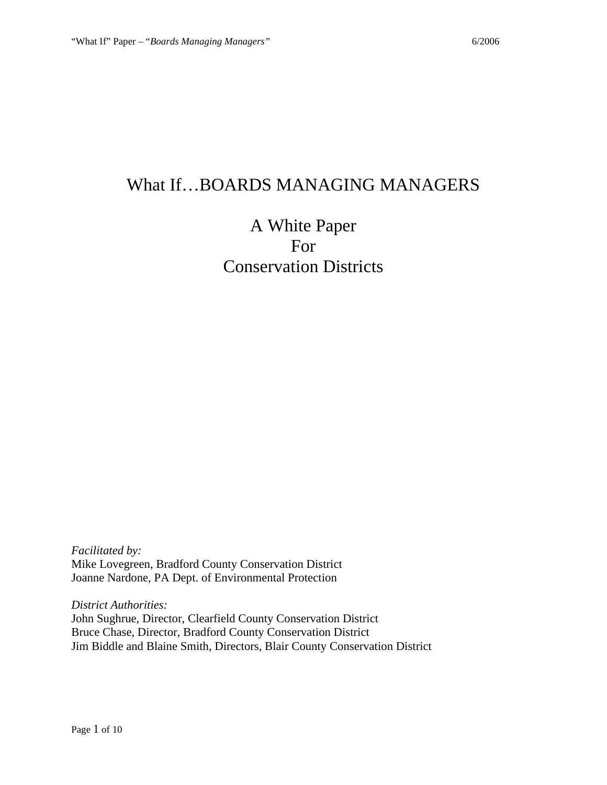# What If…BOARDS MANAGING MANAGERS

# A White Paper For Conservation Districts

*Facilitated by:* Mike Lovegreen, Bradford County Conservation District Joanne Nardone, PA Dept. of Environmental Protection

*District Authorities:* John Sughrue, Director, Clearfield County Conservation District Bruce Chase, Director, Bradford County Conservation District Jim Biddle and Blaine Smith, Directors, Blair County Conservation District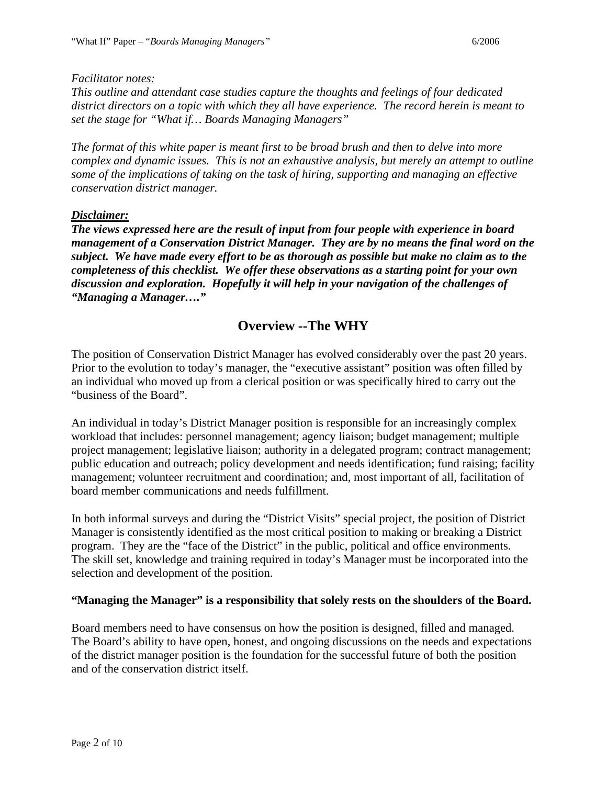#### *Facilitator notes:*

*This outline and attendant case studies capture the thoughts and feelings of four dedicated district directors on a topic with which they all have experience. The record herein is meant to set the stage for "What if… Boards Managing Managers"*

*The format of this white paper is meant first to be broad brush and then to delve into more complex and dynamic issues. This is not an exhaustive analysis, but merely an attempt to outline some of the implications of taking on the task of hiring, supporting and managing an effective conservation district manager.*

#### *Disclaimer:*

*The views expressed here are the result of input from four people with experience in board management of a Conservation District Manager. They are by no means the final word on the subject. We have made every effort to be as thorough as possible but make no claim as to the completeness of this checklist. We offer these observations as a starting point for your own discussion and exploration. Hopefully it will help in your navigation of the challenges of "Managing a Manager…."*

# **Overview --The WHY**

The position of Conservation District Manager has evolved considerably over the past 20 years. Prior to the evolution to today's manager, the "executive assistant" position was often filled by an individual who moved up from a clerical position or was specifically hired to carry out the "business of the Board".

An individual in today's District Manager position is responsible for an increasingly complex workload that includes: personnel management; agency liaison; budget management; multiple project management; legislative liaison; authority in a delegated program; contract management; public education and outreach; policy development and needs identification; fund raising; facility management; volunteer recruitment and coordination; and, most important of all, facilitation of board member communications and needs fulfillment.

In both informal surveys and during the "District Visits" special project, the position of District Manager is consistently identified as the most critical position to making or breaking a District program. They are the "face of the District" in the public, political and office environments. The skill set, knowledge and training required in today's Manager must be incorporated into the selection and development of the position.

#### **"Managing the Manager" is a responsibility that solely rests on the shoulders of the Board.**

Board members need to have consensus on how the position is designed, filled and managed. The Board's ability to have open, honest, and ongoing discussions on the needs and expectations of the district manager position is the foundation for the successful future of both the position and of the conservation district itself.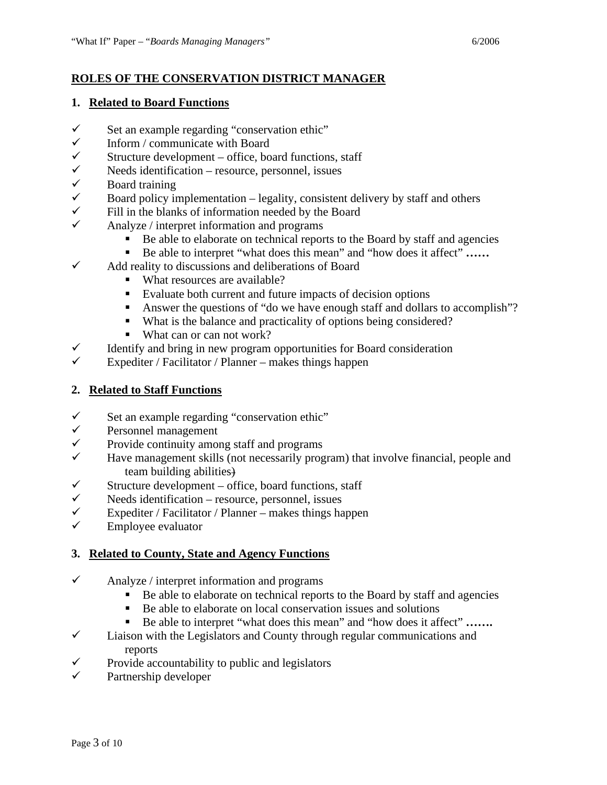## **ROLES OF THE CONSERVATION DISTRICT MANAGER**

#### **1. Related to Board Functions**

- $\checkmark$  Set an example regarding "conservation ethic"<br> $\checkmark$  Inform / communicate with Board
- Inform / communicate with Board
- $\checkmark$  Structure development office, board functions, staff
- $\checkmark$  Needs identification resource, personnel, issues<br> $\checkmark$  Roard training
- $\checkmark$  Board training<br> $\checkmark$  Board policy in
- Board policy implementation legality, consistent delivery by staff and others
- $\checkmark$  Fill in the blanks of information needed by the Board
- $\checkmark$  Analyze / interpret information and programs
	- Be able to elaborate on technical reports to the Board by staff and agencies
	- Be able to interpret "what does this mean" and "how does it affect" ......
- $\checkmark$  Add reality to discussions and deliberations of Board
	- What resources are available?
	- Evaluate both current and future impacts of decision options
	- Answer the questions of "do we have enough staff and dollars to accomplish"?
	- What is the balance and practicality of options being considered?
	- What can or can not work?
- $\checkmark$  Identify and bring in new program opportunities for Board consideration
- Expediter / Facilitator / Planner makes things happen

## **2. Related to Staff Functions**

- $\checkmark$  Set an example regarding "conservation ethic"
- $\checkmark$  Personnel management
- $\checkmark$  Provide continuity among staff and programs
- Have management skills (not necessarily program) that involve financial, people and team building abilities)
- $\checkmark$  Structure development office, board functions, staff
- $\checkmark$  Needs identification resource, personnel, issues
- $\checkmark$  Expediter / Facilitator / Planner makes things happen
- Employee evaluator

## **3. Related to County, State and Agency Functions**

- $\checkmark$  Analyze / interpret information and programs
	- Be able to elaborate on technical reports to the Board by staff and agencies
	- Be able to elaborate on local conservation issues and solutions
	- Be able to interpret "what does this mean" and "how does it affect" .......
- $\checkmark$  Liaison with the Legislators and County through regular communications and reports
- $\checkmark$  Provide accountability to public and legislators  $\checkmark$  Partnership developer
- Partnership developer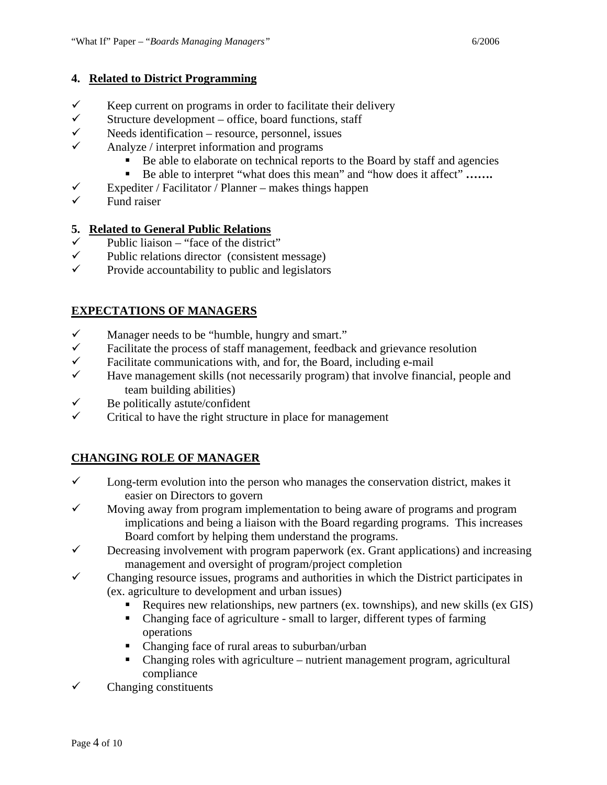### **4. Related to District Programming**

- $\checkmark$  Keep current on programs in order to facilitate their delivery
- $\checkmark$  Structure development office, board functions, staff<br> $\checkmark$  Needs identification resource personnel issues
- Needs identification resource, personnel, issues
- $\checkmark$  Analyze / interpret information and programs
	- Be able to elaborate on technical reports to the Board by staff and agencies
	- Be able to interpret "what does this mean" and "how does it affect" .......
- $\checkmark$  Expediter / Facilitator / Planner makes things happen
- Fund raiser

## **5. Related to General Public Relations**

- $\checkmark$  Public liaison "face of the district"<br> $\checkmark$  Public relations director (consistent)
- $\checkmark$  Public relations director (consistent message)<br> $\checkmark$  Provide accountability to public and legislators
- Provide accountability to public and legislators

## **EXPECTATIONS OF MANAGERS**

- $\checkmark$  Manager needs to be "humble, hungry and smart."
- $\checkmark$  Facilitate the process of staff management, feedback and grievance resolution
- $\checkmark$  Facilitate communications with, and for, the Board, including e-mail  $\checkmark$  Have management skills (not necessarily program) that involve finant
- Have management skills (not necessarily program) that involve financial, people and team building abilities)
- $\checkmark$  Be politically astute/confident
- Critical to have the right structure in place for management

## **CHANGING ROLE OF MANAGER**

- $\checkmark$  Long-term evolution into the person who manages the conservation district, makes it easier on Directors to govern
- $\checkmark$  Moving away from program implementation to being aware of programs and program implications and being a liaison with the Board regarding programs. This increases Board comfort by helping them understand the programs.
- $\checkmark$  Decreasing involvement with program paperwork (ex. Grant applications) and increasing management and oversight of program/project completion
- $\checkmark$  Changing resource issues, programs and authorities in which the District participates in (ex. agriculture to development and urban issues)
	- Requires new relationships, new partners (ex. townships), and new skills (ex GIS)
	- Changing face of agriculture small to larger, different types of farming operations
	- Changing face of rural areas to suburban/urban
	- Changing roles with agriculture nutrient management program, agricultural compliance
- $\checkmark$  Changing constituents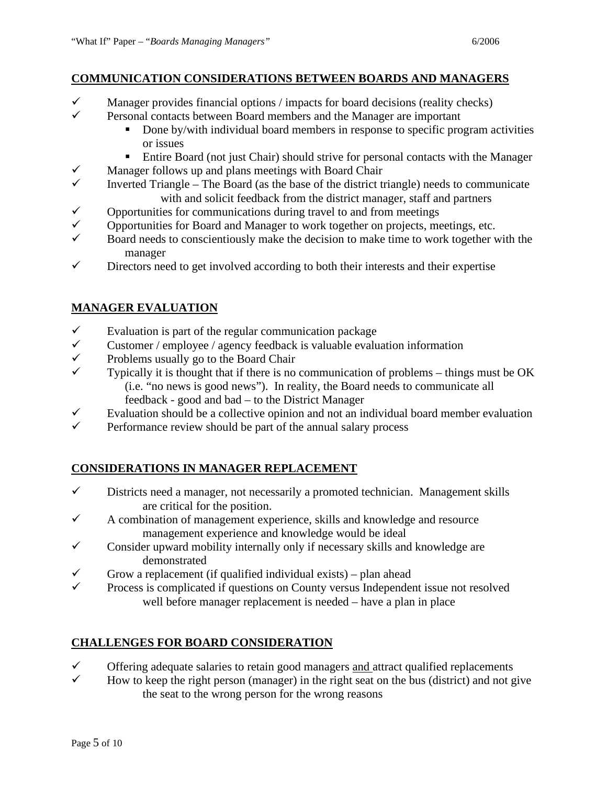- $\checkmark$  Manager provides financial options / impacts for board decisions (reality checks)
- Personal contacts between Board members and the Manager are important
	- Done by/with individual board members in response to specific program activities or issues
	- Entire Board (not just Chair) should strive for personal contacts with the Manager
- $\checkmark$  Manager follows up and plans meetings with Board Chair
- Inverted Triangle The Board (as the base of the district triangle) needs to communicate with and solicit feedback from the district manager, staff and partners
- $\checkmark$  Opportunities for communications during travel to and from meetings
- 
- Board needs to conscientiously make the decision to make time to work together with the manager
- $\checkmark$  Directors need to get involved according to both their interests and their expertise

## **MANAGER EVALUATION**

- $\checkmark$  Evaluation is part of the regular communication package
- $\checkmark$  Customer / employee / agency feedback is valuable evaluation information
- $\checkmark$  Problems usually go to the Board Chair<br> $\checkmark$  Typically it is thought that if there is no
- Typically it is thought that if there is no communication of problems things must be OK (i.e. "no news is good news"). In reality, the Board needs to communicate all feedback - good and bad – to the District Manager
- Evaluation should be a collective opinion and not an individual board member evaluation<br>
Ferformance review should be part of the annual salary process
- Performance review should be part of the annual salary process

# **CONSIDERATIONS IN MANAGER REPLACEMENT**

- $\checkmark$  Districts need a manager, not necessarily a promoted technician. Management skills are critical for the position.
- $\checkmark$  A combination of management experience, skills and knowledge and resource management experience and knowledge would be ideal
- $\checkmark$  Consider upward mobility internally only if necessary skills and knowledge are demonstrated
- Grow a replacement (if qualified individual exists) plan ahead<br>  $\checkmark$  Process is complicated if questions on County versus Independent
- Process is complicated if questions on County versus Independent issue not resolved well before manager replacement is needed – have a plan in place

## **CHALLENGES FOR BOARD CONSIDERATION**

- $\checkmark$  Offering adequate salaries to retain good managers <u>and</u> attract qualified replacements  $\checkmark$  How to keep the right person (manager) in the right seat on the bus (district) and not a
- How to keep the right person (manager) in the right seat on the bus (district) and not give the seat to the wrong person for the wrong reasons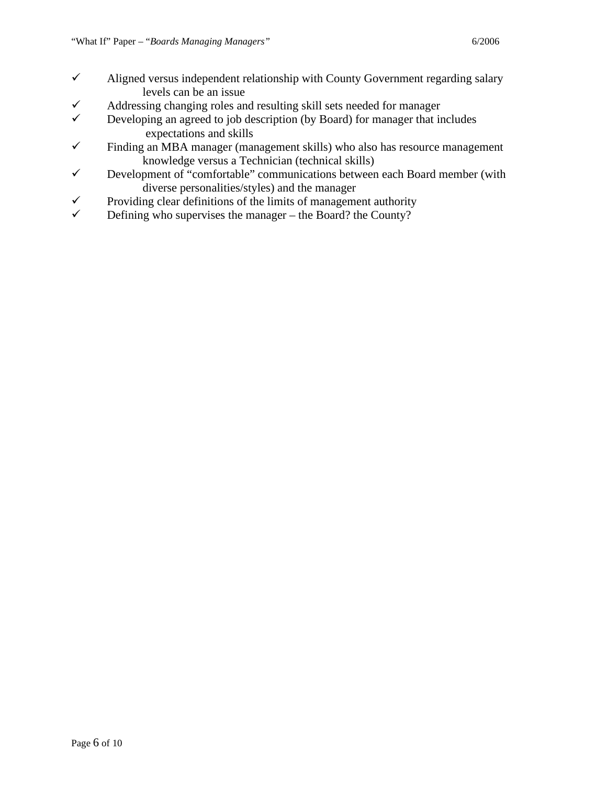- $\checkmark$  Addressing changing roles and resulting skill sets needed for manager
- $\checkmark$  Developing an agreed to job description (by Board) for manager that includes expectations and skills
- $\checkmark$  Finding an MBA manager (management skills) who also has resource management knowledge versus a Technician (technical skills)
- $\checkmark$  Development of "comfortable" communications between each Board member (with diverse personalities/styles) and the manager
- Providing clear definitions of the limits of management authority<br>
Person who supervises the manager the Board? the County?
- Defining who supervises the manager the Board? the County?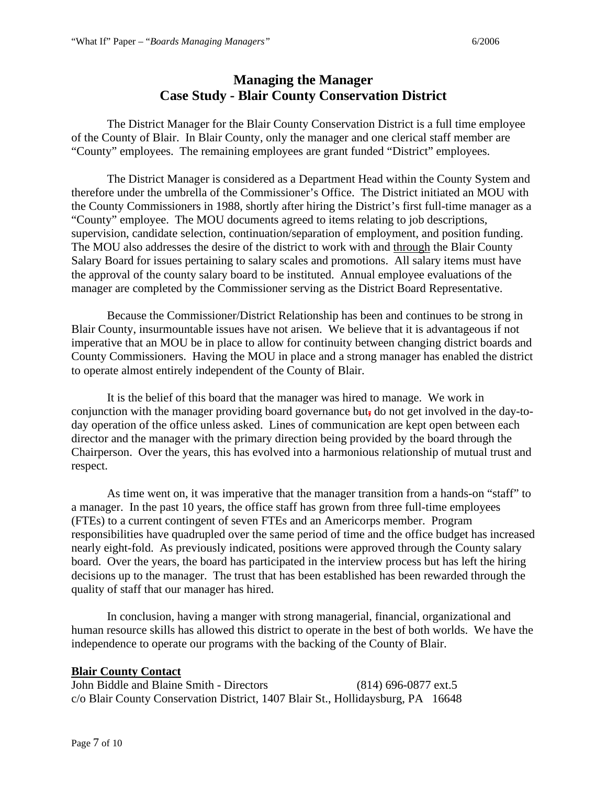# **Managing the Manager Case Study - Blair County Conservation District**

The District Manager for the Blair County Conservation District is a full time employee of the County of Blair. In Blair County, only the manager and one clerical staff member are "County" employees. The remaining employees are grant funded "District" employees.

The District Manager is considered as a Department Head within the County System and therefore under the umbrella of the Commissioner's Office. The District initiated an MOU with the County Commissioners in 1988, shortly after hiring the District's first full-time manager as a "County" employee. The MOU documents agreed to items relating to job descriptions, supervision, candidate selection, continuation/separation of employment, and position funding. The MOU also addresses the desire of the district to work with and through the Blair County Salary Board for issues pertaining to salary scales and promotions. All salary items must have the approval of the county salary board to be instituted. Annual employee evaluations of the manager are completed by the Commissioner serving as the District Board Representative.

Because the Commissioner/District Relationship has been and continues to be strong in Blair County, insurmountable issues have not arisen. We believe that it is advantageous if not imperative that an MOU be in place to allow for continuity between changing district boards and County Commissioners. Having the MOU in place and a strong manager has enabled the district to operate almost entirely independent of the County of Blair.

It is the belief of this board that the manager was hired to manage. We work in conjunction with the manager providing board governance but**,** do not get involved in the day-today operation of the office unless asked. Lines of communication are kept open between each director and the manager with the primary direction being provided by the board through the Chairperson. Over the years, this has evolved into a harmonious relationship of mutual trust and respect.

As time went on, it was imperative that the manager transition from a hands-on "staff" to a manager. In the past 10 years, the office staff has grown from three full-time employees (FTEs) to a current contingent of seven FTEs and an Americorps member. Program responsibilities have quadrupled over the same period of time and the office budget has increased nearly eight-fold. As previously indicated, positions were approved through the County salary board. Over the years, the board has participated in the interview process but has left the hiring decisions up to the manager. The trust that has been established has been rewarded through the quality of staff that our manager has hired.

In conclusion, having a manger with strong managerial, financial, organizational and human resource skills has allowed this district to operate in the best of both worlds. We have the independence to operate our programs with the backing of the County of Blair.

#### **Blair County Contact**

John Biddle and Blaine Smith - Directors (814) 696-0877 ext.5 c/o Blair County Conservation District, 1407 Blair St., Hollidaysburg, PA 16648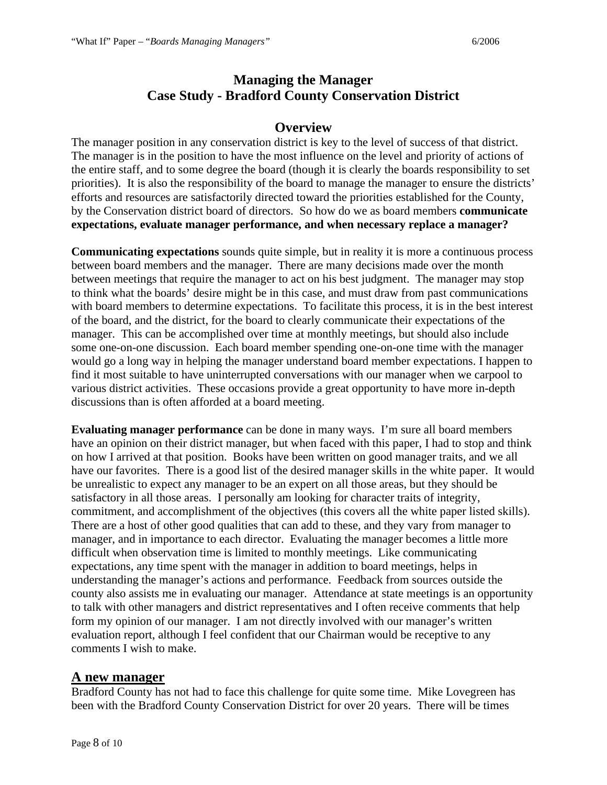# **Managing the Manager Case Study - Bradford County Conservation District**

### **Overview**

The manager position in any conservation district is key to the level of success of that district. The manager is in the position to have the most influence on the level and priority of actions of the entire staff, and to some degree the board (though it is clearly the boards responsibility to set priorities). It is also the responsibility of the board to manage the manager to ensure the districts' efforts and resources are satisfactorily directed toward the priorities established for the County, by the Conservation district board of directors. So how do we as board members **communicate expectations, evaluate manager performance, and when necessary replace a manager?**

**Communicating expectations** sounds quite simple, but in reality it is more a continuous process between board members and the manager. There are many decisions made over the month between meetings that require the manager to act on his best judgment. The manager may stop to think what the boards' desire might be in this case, and must draw from past communications with board members to determine expectations. To facilitate this process, it is in the best interest of the board, and the district, for the board to clearly communicate their expectations of the manager. This can be accomplished over time at monthly meetings, but should also include some one-on-one discussion. Each board member spending one-on-one time with the manager would go a long way in helping the manager understand board member expectations. I happen to find it most suitable to have uninterrupted conversations with our manager when we carpool to various district activities. These occasions provide a great opportunity to have more in-depth discussions than is often afforded at a board meeting.

**Evaluating manager performance** can be done in many ways. I'm sure all board members have an opinion on their district manager, but when faced with this paper, I had to stop and think on how I arrived at that position. Books have been written on good manager traits, and we all have our favorites. There is a good list of the desired manager skills in the white paper. It would be unrealistic to expect any manager to be an expert on all those areas, but they should be satisfactory in all those areas. I personally am looking for character traits of integrity, commitment, and accomplishment of the objectives (this covers all the white paper listed skills). There are a host of other good qualities that can add to these, and they vary from manager to manager, and in importance to each director. Evaluating the manager becomes a little more difficult when observation time is limited to monthly meetings. Like communicating expectations, any time spent with the manager in addition to board meetings, helps in understanding the manager's actions and performance. Feedback from sources outside the county also assists me in evaluating our manager. Attendance at state meetings is an opportunity to talk with other managers and district representatives and I often receive comments that help form my opinion of our manager. I am not directly involved with our manager's written evaluation report, although I feel confident that our Chairman would be receptive to any comments I wish to make.

#### **A new manager**

Bradford County has not had to face this challenge for quite some time. Mike Lovegreen has been with the Bradford County Conservation District for over 20 years. There will be times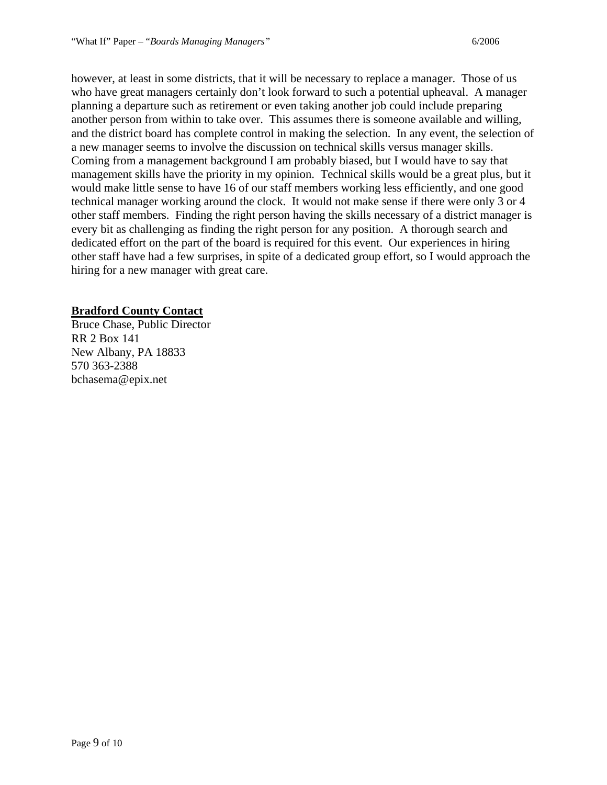however, at least in some districts, that it will be necessary to replace a manager. Those of us who have great managers certainly don't look forward to such a potential upheaval. A manager planning a departure such as retirement or even taking another job could include preparing another person from within to take over. This assumes there is someone available and willing, and the district board has complete control in making the selection. In any event, the selection of a new manager seems to involve the discussion on technical skills versus manager skills. Coming from a management background I am probably biased, but I would have to say that management skills have the priority in my opinion. Technical skills would be a great plus, but it would make little sense to have 16 of our staff members working less efficiently, and one good technical manager working around the clock. It would not make sense if there were only 3 or 4 other staff members. Finding the right person having the skills necessary of a district manager is every bit as challenging as finding the right person for any position. A thorough search and dedicated effort on the part of the board is required for this event. Our experiences in hiring other staff have had a few surprises, in spite of a dedicated group effort, so I would approach the hiring for a new manager with great care.

#### **Bradford County Contact**

Bruce Chase, Public Director RR 2 Box 141 New Albany, PA 18833 570 363-2388 bchasema@epix.net